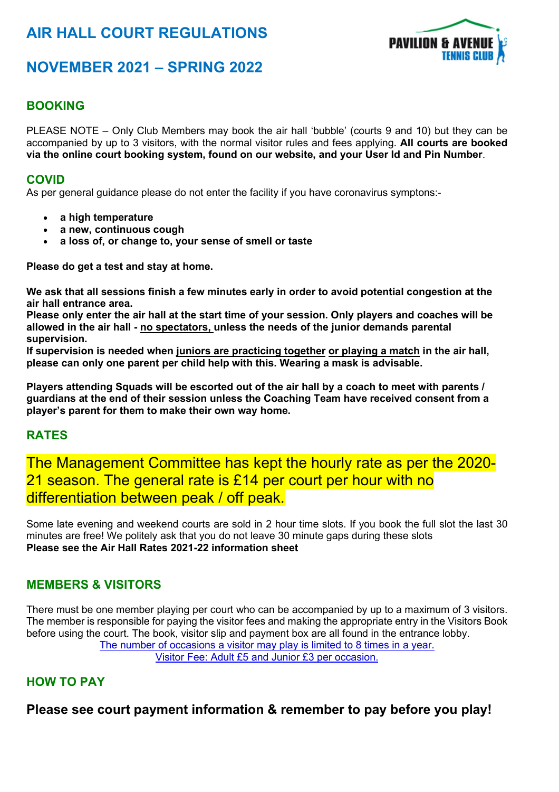# **AIR HALL COURT REGULATIONS**



## **NOVEMBER 2021 – SPRING 2022**

## **BOOKING**

PLEASE NOTE – Only Club Members may book the air hall 'bubble' (courts 9 and 10) but they can be accompanied by up to 3 visitors, with the normal visitor rules and fees applying. **All courts are booked via the online court booking system, found on our website, and your User Id and Pin Number**.

#### **COVID**

As per general guidance please do not enter the facility if you have coronavirus symptons:-

- **a high temperature**
- **a new, continuous cough**
- **a loss of, or change to, your sense of smell or taste**

**Please do get a test and stay at home.**

**We ask that all sessions finish a few minutes early in order to avoid potential congestion at the air hall entrance area.**

Please only enter the air hall at the start time of your session. Only players and coaches will be **allowed in the air hall - no spectators, unless the needs of the junior demands parental supervision.**

**If supervision is needed when juniors are practicing together or playing a match in the air hall, please can only one parent per child help with this. Wearing a mask is advisable.**

Players attending Squads will be escorted out of the air hall by a coach to meet with parents / **guardians at the end of their session unless the Coaching Team have received consent from a player's parent for them to make their own way home.**

## **RATES**

The Management Committee has kept the hourly rate as per the 2020- 21 season. The general rate is £14 per court per hour with no differentiation between peak / off peak.

Some late evening and weekend courts are sold in 2 hour time slots. If you book the full slot the last 30 minutes are free! We politely ask that you do not leave 30 minute gaps during these slots **Please see the Air Hall Rates 2021-22 information sheet**

#### **MEMBERS & VISITORS**

There must be one member playing per court who can be accompanied by up to a maximum of 3 visitors. The member is responsible for paying the visitor fees and making the appropriate entry in the Visitors Book before using the court. The book, visitor slip and payment box are all found in the entrance lobby. The number of occasions a visitor may play is limited to 8 times in a year. Visitor Fee: Adult £5 and Junior £3 per occasion.

## **HOW TO PAY**

**Please see court payment information & remember to pay before you play!**